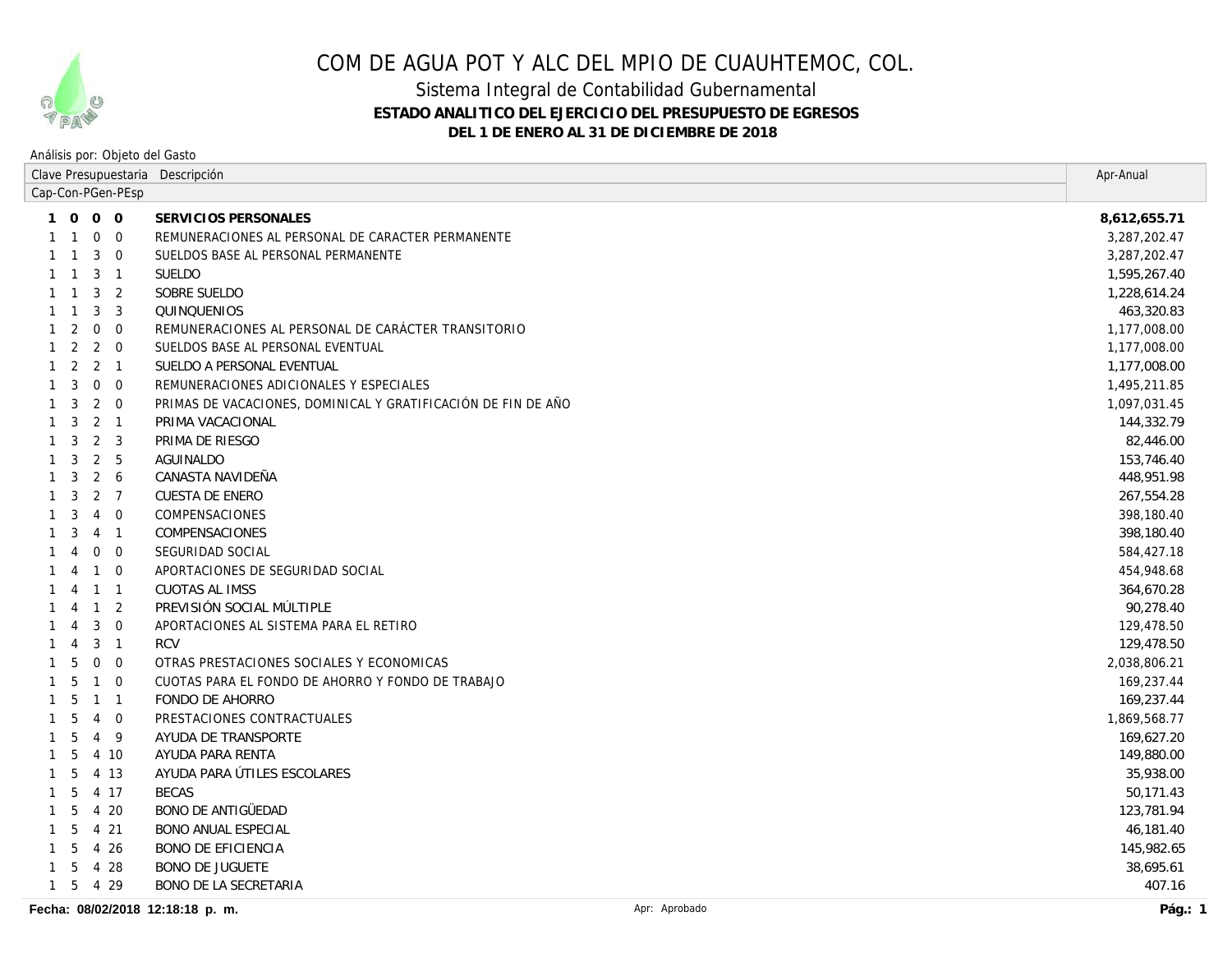

### Sistema Integral de Contabilidad Gubernamental **ESTADO ANALITICO DEL EJERCICIO DEL PRESUPUESTO DE EGRESOS DEL 1 DE ENERO AL 31 DE DICIEMBRE DE 2018**

| Clave Presupuestaria Descripción |                |                             |                            |                                                               | Apr-Anual    |
|----------------------------------|----------------|-----------------------------|----------------------------|---------------------------------------------------------------|--------------|
| Cap-Con-PGen-PEsp                |                |                             |                            |                                                               |              |
|                                  |                | 1 0 0 0                     |                            | SERVICIOS PERSONALES                                          | 8,612,655.71 |
|                                  |                | $\mathbf 0$                 | $\overline{0}$             | REMUNERACIONES AL PERSONAL DE CARACTER PERMANENTE             | 3,287,202.47 |
|                                  | $\mathbf{1}$   | 3                           | $\overline{0}$             | SUELDOS BASE AL PERSONAL PERMANENTE                           | 3,287,202.47 |
| 1                                | $\mathbf{1}$   | 3                           | $\overline{1}$             | <b>SUELDO</b>                                                 | 1,595,267.40 |
|                                  | $\overline{1}$ | 3                           | 2                          | SOBRE SUELDO                                                  | 1,228,614.24 |
|                                  | $\overline{1}$ | 3                           | 3                          | QUINQUENIOS                                                   | 463,320.83   |
|                                  | 2              | $\mathbf 0$                 | $\overline{0}$             | REMUNERACIONES AL PERSONAL DE CARÁCTER TRANSITORIO            | 1,177,008.00 |
|                                  | $1\quad 2$     | $2 \quad 0$                 |                            | SUELDOS BASE AL PERSONAL EVENTUAL                             | 1,177,008.00 |
|                                  |                | $1 \quad 2 \quad 2 \quad 1$ |                            | SUELDO A PERSONAL EVENTUAL                                    | 1,177,008.00 |
| $\mathbf{1}$                     | 3              | $\mathbf 0$                 | $\overline{0}$             | REMUNERACIONES ADICIONALES Y ESPECIALES                       | 1,495,211.85 |
| $\mathbf{1}$                     | 3              | $\overline{2}$              | $\overline{0}$             | PRIMAS DE VACACIONES, DOMINICAL Y GRATIFICACIÓN DE FIN DE AÑO | 1,097,031.45 |
| 1                                | 3              | 2                           | $\overline{1}$             | PRIMA VACACIONAL                                              | 144,332.79   |
| $\mathbf{1}$                     | 3              | $\overline{2}$              | 3                          | PRIMA DE RIESGO                                               | 82,446.00    |
| 1                                | 3              | $\overline{2}$              | 5                          | <b>AGUINALDO</b>                                              | 153,746.40   |
| $\mathbf{1}$                     | 3              | 2                           | 6                          | CANASTA NAVIDEÑA                                              | 448,951.98   |
|                                  | 3              | $\overline{2}$              | $\overline{7}$             | CUESTA DE ENERO                                               | 267,554.28   |
|                                  | 3              | $\overline{4}$              | $\mathbf 0$                | COMPENSACIONES                                                | 398,180.40   |
|                                  | 3              | 4                           | $\overline{1}$             | <b>COMPENSACIONES</b>                                         | 398,180.40   |
|                                  | $\overline{4}$ | $\mathbf 0$                 | $\overline{0}$             | SEGURIDAD SOCIAL                                              | 584,427.18   |
|                                  | 4              | $\mathbf{1}$                | $\Omega$                   | APORTACIONES DE SEGURIDAD SOCIAL                              | 454,948.68   |
|                                  | $\overline{4}$ | $\overline{1}$              | $\overline{1}$             | <b>CUOTAS AL IMSS</b>                                         | 364,670.28   |
|                                  | 4              | $\mathbf{1}$                | 2                          | PREVISIÓN SOCIAL MÚLTIPLE                                     | 90,278.40    |
|                                  |                | 3                           | $\mathbf{0}$               | APORTACIONES AL SISTEMA PARA EL RETIRO                        | 129,478.50   |
|                                  | 4              | 3                           | $\overline{1}$             | <b>RCV</b>                                                    | 129,478.50   |
| 1                                | 5              | $\mathbf 0$                 | $\overline{0}$             | OTRAS PRESTACIONES SOCIALES Y ECONOMICAS                      | 2,038,806.21 |
|                                  | 5              | $\overline{1}$              | $\overline{0}$             | CUOTAS PARA EL FONDO DE AHORRO Y FONDO DE TRABAJO             | 169,237.44   |
|                                  | 5              | $\mathbf{1}$                | $\overline{\phantom{0}}$ 1 | FONDO DE AHORRO                                               | 169,237.44   |
|                                  | 5              | $\overline{4}$              | $\overline{0}$             | PRESTACIONES CONTRACTUALES                                    | 1,869,568.77 |
|                                  | 5              | $\overline{4}$              | - 9                        | AYUDA DE TRANSPORTE                                           | 169,627.20   |
| 1                                | 5              |                             | 4 10                       | AYUDA PARA RENTA                                              | 149,880.00   |
| $\mathbf{1}$                     | 5              |                             | 4 13                       | AYUDA PARA ÚTILES ESCOLARES                                   | 35,938.00    |
| 1                                | 5              |                             | 4 17                       | <b>BECAS</b>                                                  | 50,171.43    |
| 1                                | 5              | 4                           | 20                         | BONO DE ANTIGÜEDAD                                            | 123,781.94   |
| $\mathbf{1}$                     | 5              | $\overline{4}$              | 21                         | <b>BONO ANUAL ESPECIAL</b>                                    | 46,181.40    |
| 1                                | 5              | 4                           | 26                         | <b>BONO DE EFICIENCIA</b>                                     | 145,982.65   |
| 1                                | 5              | $\overline{4}$              | 28                         | <b>BONO DE JUGUETE</b>                                        | 38,695.61    |
|                                  |                | 1 5 4 29                    |                            | BONO DE LA SECRETARIA                                         | 407.16       |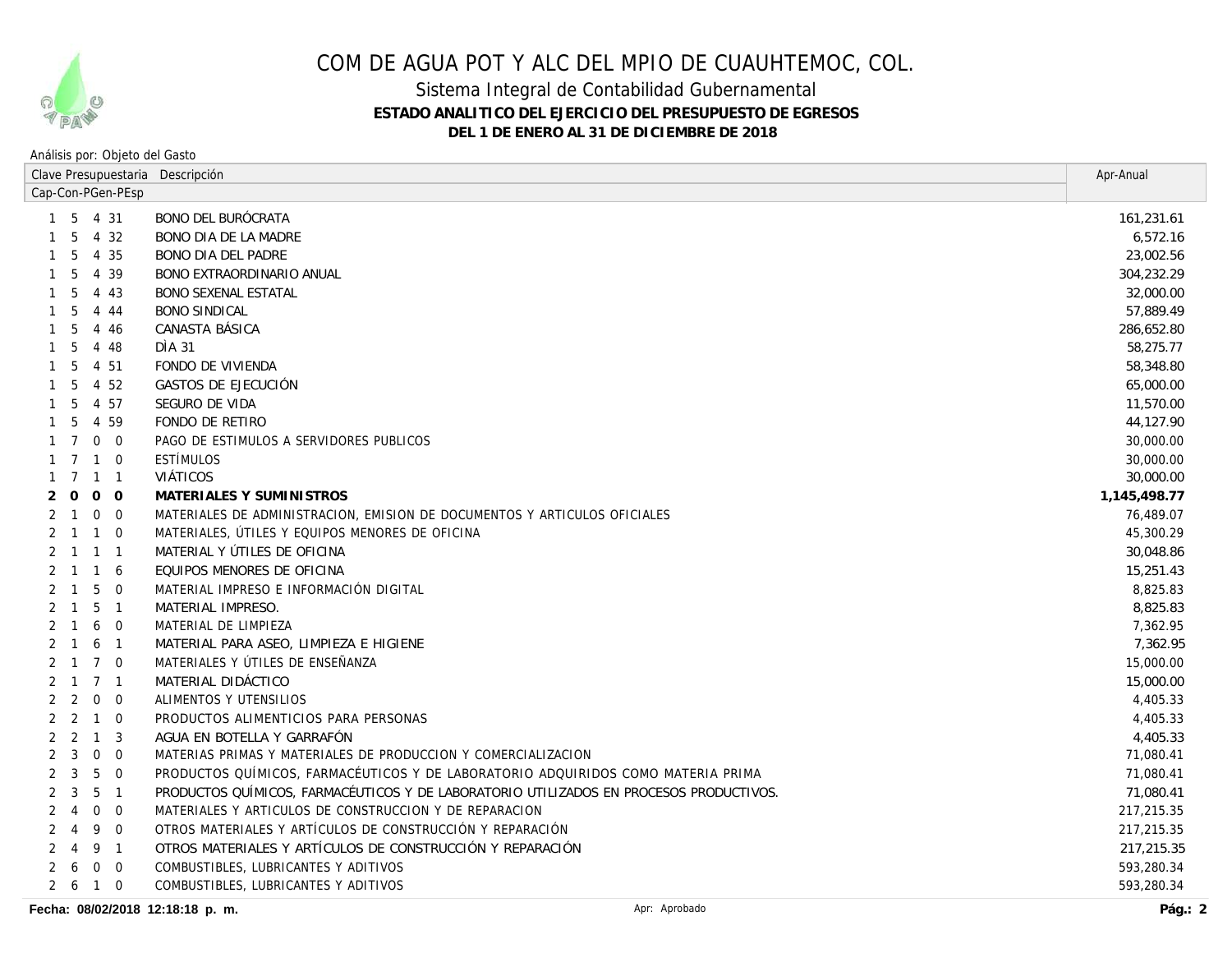

### Sistema Integral de Contabilidad Gubernamental **ESTADO ANALITICO DEL EJERCICIO DEL PRESUPUESTO DE EGRESOS DEL 1 DE ENERO AL 31 DE DICIEMBRE DE 2018**

| Cap-Con-PGen-PEsp<br>BONO DEL BURÓCRATA<br>1 5 4 31<br>4 3 2<br>5<br>BONO DIA DE LA MADRE<br>4 35<br><b>BONO DIA DEL PADRE</b><br>5<br>-1<br>39<br>BONO EXTRAORDINARIO ANUAL<br>5<br>4<br>43<br><b>BONO SEXENAL ESTATAL</b><br>5<br>4<br>4 4 4<br><b>BONO SINDICAL</b><br>5<br>CANASTA BÁSICA<br>4 4 6<br>5<br>DIA 31<br>5<br>4 48<br>FONDO DE VIVIENDA<br>5<br>4 51<br>4 52<br>GASTOS DE EJECUCIÓN<br>-5<br>4 57<br>SEGURO DE VIDA<br>-5<br>59<br>FONDO DE RETIRO<br>5<br>$\overline{4}$<br>$\mathbf 0$<br>PAGO DE ESTIMULOS A SERVIDORES PUBLICOS<br>$\overline{0}$<br><b>ESTÍMULOS</b><br>$\overline{7}$<br>$\overline{0}$<br>$\mathbf{1}$<br>1<br><b>VIÁTICOS</b><br>$\overline{7}$<br>$\mathbf{1}$<br>$\overline{1}$<br>$\mathbf 0$<br>$\overline{O}$<br>MATERIALES Y SUMINISTROS<br>0<br>$\mathbf 0$<br>$\overline{0}$<br>MATERIALES DE ADMINISTRACION, EMISION DE DOCUMENTOS Y ARTICULOS OFICIALES<br>$\mathbf{1}$<br>$\overline{1}$<br>$\Omega$<br>MATERIALES, UTILES Y EQUIPOS MENORES DE OFICINA<br>2 1<br>MATERIAL Y ÚTILES DE OFICINA<br>$2 \quad 1$<br>$\overline{1}$<br>$\overline{1}$<br>EQUIPOS MENORES DE OFICINA<br>$\overline{1}$<br>-6<br>$\overline{1}$<br>5<br>MATERIAL IMPRESO E INFORMACIÓN DIGITAL<br>$\overline{0}$<br>$\mathbf{1}$<br>5<br>MATERIAL IMPRESO.<br>$\overline{1}$<br>$\mathbf{1}$<br>6<br>$\overline{0}$<br>MATERIAL DE LIMPIEZA<br>6<br>MATERIAL PARA ASEO, LIMPIEZA E HIGIENE<br>$\overline{1}$<br>$\overline{7}$<br>MATERIALES Y ÚTILES DE ENSEÑANZA<br>$\overline{0}$<br>-1<br>7 <sub>1</sub><br>MATERIAL DIDÁCTICO<br>$\mathbf{1}$<br>$\mathbf 0$<br>ALIMENTOS Y UTENSILIOS<br>2<br>$\overline{0}$<br>2<br>PRODUCTOS ALIMENTICIOS PARA PERSONAS<br>2<br>$\mathbf{1}$<br>$\Omega$<br>2<br>AGUA EN BOTELLA Y GARRAFÓN<br>2<br>$\overline{1}$<br>3<br>$\mathbf 0$<br>3<br>$\overline{0}$<br>MATERIAS PRIMAS Y MATERIALES DE PRODUCCION Y COMERCIALIZACION<br>3<br>5<br>$\mathbf 0$<br>PRODUCTOS QUÍMICOS, FARMACÉUTICOS Y DE LABORATORIO ADQUIRIDOS COMO MATERIA PRIMA<br>2<br>5<br>3<br>$\overline{1}$<br>PRODUCTOS QUÍMICOS, FARMACÉUTICOS Y DE LABORATORIO UTILIZADOS EN PROCESOS PRODUCTIVOS.<br>2<br>$\mathbf 0$<br>$\overline{0}$<br>MATERIALES Y ARTICULOS DE CONSTRUCCION Y DE REPARACION<br>4<br>9<br>OTROS MATERIALES Y ARTÍCULOS DE CONSTRUCCIÓN Y REPARACIÓN<br>$\overline{0}$<br>4<br>OTROS MATERIALES Y ARTÍCULOS DE CONSTRUCCIÓN Y REPARACIÓN<br>9<br>$\overline{1}$<br>4<br>$\mathbf 0$<br>COMBUSTIBLES, LUBRICANTES Y ADITIVOS<br>$\overline{0}$<br>6<br>$\mathbf 0$<br>COMBUSTIBLES, LUBRICANTES Y ADITIVOS<br>2 6<br>$\overline{1}$ | Clave Presupuestaria Descripción |  |  |  | Apr-Anual    |
|--------------------------------------------------------------------------------------------------------------------------------------------------------------------------------------------------------------------------------------------------------------------------------------------------------------------------------------------------------------------------------------------------------------------------------------------------------------------------------------------------------------------------------------------------------------------------------------------------------------------------------------------------------------------------------------------------------------------------------------------------------------------------------------------------------------------------------------------------------------------------------------------------------------------------------------------------------------------------------------------------------------------------------------------------------------------------------------------------------------------------------------------------------------------------------------------------------------------------------------------------------------------------------------------------------------------------------------------------------------------------------------------------------------------------------------------------------------------------------------------------------------------------------------------------------------------------------------------------------------------------------------------------------------------------------------------------------------------------------------------------------------------------------------------------------------------------------------------------------------------------------------------------------------------------------------------------------------------------------------------------------------------------------------------------------------------------------------------------------------------------------------------------------------------------------------------------------------------------------------------------------------------------------------------------------------------------------------------------------------------------------------------------------------------------------------------------------------------------------------------------------------------------------------------------------------------------------------------------|----------------------------------|--|--|--|--------------|
|                                                                                                                                                                                                                                                                                                                                                                                                                                                                                                                                                                                                                                                                                                                                                                                                                                                                                                                                                                                                                                                                                                                                                                                                                                                                                                                                                                                                                                                                                                                                                                                                                                                                                                                                                                                                                                                                                                                                                                                                                                                                                                                                                                                                                                                                                                                                                                                                                                                                                                                                                                                                  |                                  |  |  |  |              |
|                                                                                                                                                                                                                                                                                                                                                                                                                                                                                                                                                                                                                                                                                                                                                                                                                                                                                                                                                                                                                                                                                                                                                                                                                                                                                                                                                                                                                                                                                                                                                                                                                                                                                                                                                                                                                                                                                                                                                                                                                                                                                                                                                                                                                                                                                                                                                                                                                                                                                                                                                                                                  |                                  |  |  |  | 161,231.61   |
|                                                                                                                                                                                                                                                                                                                                                                                                                                                                                                                                                                                                                                                                                                                                                                                                                                                                                                                                                                                                                                                                                                                                                                                                                                                                                                                                                                                                                                                                                                                                                                                                                                                                                                                                                                                                                                                                                                                                                                                                                                                                                                                                                                                                                                                                                                                                                                                                                                                                                                                                                                                                  |                                  |  |  |  | 6,572.16     |
|                                                                                                                                                                                                                                                                                                                                                                                                                                                                                                                                                                                                                                                                                                                                                                                                                                                                                                                                                                                                                                                                                                                                                                                                                                                                                                                                                                                                                                                                                                                                                                                                                                                                                                                                                                                                                                                                                                                                                                                                                                                                                                                                                                                                                                                                                                                                                                                                                                                                                                                                                                                                  |                                  |  |  |  | 23,002.56    |
|                                                                                                                                                                                                                                                                                                                                                                                                                                                                                                                                                                                                                                                                                                                                                                                                                                                                                                                                                                                                                                                                                                                                                                                                                                                                                                                                                                                                                                                                                                                                                                                                                                                                                                                                                                                                                                                                                                                                                                                                                                                                                                                                                                                                                                                                                                                                                                                                                                                                                                                                                                                                  |                                  |  |  |  | 304,232.29   |
|                                                                                                                                                                                                                                                                                                                                                                                                                                                                                                                                                                                                                                                                                                                                                                                                                                                                                                                                                                                                                                                                                                                                                                                                                                                                                                                                                                                                                                                                                                                                                                                                                                                                                                                                                                                                                                                                                                                                                                                                                                                                                                                                                                                                                                                                                                                                                                                                                                                                                                                                                                                                  |                                  |  |  |  | 32,000.00    |
|                                                                                                                                                                                                                                                                                                                                                                                                                                                                                                                                                                                                                                                                                                                                                                                                                                                                                                                                                                                                                                                                                                                                                                                                                                                                                                                                                                                                                                                                                                                                                                                                                                                                                                                                                                                                                                                                                                                                                                                                                                                                                                                                                                                                                                                                                                                                                                                                                                                                                                                                                                                                  |                                  |  |  |  | 57,889.49    |
|                                                                                                                                                                                                                                                                                                                                                                                                                                                                                                                                                                                                                                                                                                                                                                                                                                                                                                                                                                                                                                                                                                                                                                                                                                                                                                                                                                                                                                                                                                                                                                                                                                                                                                                                                                                                                                                                                                                                                                                                                                                                                                                                                                                                                                                                                                                                                                                                                                                                                                                                                                                                  |                                  |  |  |  | 286,652.80   |
|                                                                                                                                                                                                                                                                                                                                                                                                                                                                                                                                                                                                                                                                                                                                                                                                                                                                                                                                                                                                                                                                                                                                                                                                                                                                                                                                                                                                                                                                                                                                                                                                                                                                                                                                                                                                                                                                                                                                                                                                                                                                                                                                                                                                                                                                                                                                                                                                                                                                                                                                                                                                  |                                  |  |  |  | 58,275.77    |
|                                                                                                                                                                                                                                                                                                                                                                                                                                                                                                                                                                                                                                                                                                                                                                                                                                                                                                                                                                                                                                                                                                                                                                                                                                                                                                                                                                                                                                                                                                                                                                                                                                                                                                                                                                                                                                                                                                                                                                                                                                                                                                                                                                                                                                                                                                                                                                                                                                                                                                                                                                                                  |                                  |  |  |  | 58,348.80    |
|                                                                                                                                                                                                                                                                                                                                                                                                                                                                                                                                                                                                                                                                                                                                                                                                                                                                                                                                                                                                                                                                                                                                                                                                                                                                                                                                                                                                                                                                                                                                                                                                                                                                                                                                                                                                                                                                                                                                                                                                                                                                                                                                                                                                                                                                                                                                                                                                                                                                                                                                                                                                  |                                  |  |  |  | 65,000.00    |
|                                                                                                                                                                                                                                                                                                                                                                                                                                                                                                                                                                                                                                                                                                                                                                                                                                                                                                                                                                                                                                                                                                                                                                                                                                                                                                                                                                                                                                                                                                                                                                                                                                                                                                                                                                                                                                                                                                                                                                                                                                                                                                                                                                                                                                                                                                                                                                                                                                                                                                                                                                                                  |                                  |  |  |  | 11,570.00    |
|                                                                                                                                                                                                                                                                                                                                                                                                                                                                                                                                                                                                                                                                                                                                                                                                                                                                                                                                                                                                                                                                                                                                                                                                                                                                                                                                                                                                                                                                                                                                                                                                                                                                                                                                                                                                                                                                                                                                                                                                                                                                                                                                                                                                                                                                                                                                                                                                                                                                                                                                                                                                  |                                  |  |  |  | 44,127.90    |
|                                                                                                                                                                                                                                                                                                                                                                                                                                                                                                                                                                                                                                                                                                                                                                                                                                                                                                                                                                                                                                                                                                                                                                                                                                                                                                                                                                                                                                                                                                                                                                                                                                                                                                                                                                                                                                                                                                                                                                                                                                                                                                                                                                                                                                                                                                                                                                                                                                                                                                                                                                                                  |                                  |  |  |  | 30,000.00    |
|                                                                                                                                                                                                                                                                                                                                                                                                                                                                                                                                                                                                                                                                                                                                                                                                                                                                                                                                                                                                                                                                                                                                                                                                                                                                                                                                                                                                                                                                                                                                                                                                                                                                                                                                                                                                                                                                                                                                                                                                                                                                                                                                                                                                                                                                                                                                                                                                                                                                                                                                                                                                  |                                  |  |  |  | 30,000.00    |
|                                                                                                                                                                                                                                                                                                                                                                                                                                                                                                                                                                                                                                                                                                                                                                                                                                                                                                                                                                                                                                                                                                                                                                                                                                                                                                                                                                                                                                                                                                                                                                                                                                                                                                                                                                                                                                                                                                                                                                                                                                                                                                                                                                                                                                                                                                                                                                                                                                                                                                                                                                                                  |                                  |  |  |  | 30,000.00    |
|                                                                                                                                                                                                                                                                                                                                                                                                                                                                                                                                                                                                                                                                                                                                                                                                                                                                                                                                                                                                                                                                                                                                                                                                                                                                                                                                                                                                                                                                                                                                                                                                                                                                                                                                                                                                                                                                                                                                                                                                                                                                                                                                                                                                                                                                                                                                                                                                                                                                                                                                                                                                  |                                  |  |  |  | 1,145,498.77 |
|                                                                                                                                                                                                                                                                                                                                                                                                                                                                                                                                                                                                                                                                                                                                                                                                                                                                                                                                                                                                                                                                                                                                                                                                                                                                                                                                                                                                                                                                                                                                                                                                                                                                                                                                                                                                                                                                                                                                                                                                                                                                                                                                                                                                                                                                                                                                                                                                                                                                                                                                                                                                  |                                  |  |  |  | 76,489.07    |
|                                                                                                                                                                                                                                                                                                                                                                                                                                                                                                                                                                                                                                                                                                                                                                                                                                                                                                                                                                                                                                                                                                                                                                                                                                                                                                                                                                                                                                                                                                                                                                                                                                                                                                                                                                                                                                                                                                                                                                                                                                                                                                                                                                                                                                                                                                                                                                                                                                                                                                                                                                                                  |                                  |  |  |  | 45,300.29    |
|                                                                                                                                                                                                                                                                                                                                                                                                                                                                                                                                                                                                                                                                                                                                                                                                                                                                                                                                                                                                                                                                                                                                                                                                                                                                                                                                                                                                                                                                                                                                                                                                                                                                                                                                                                                                                                                                                                                                                                                                                                                                                                                                                                                                                                                                                                                                                                                                                                                                                                                                                                                                  |                                  |  |  |  | 30,048.86    |
|                                                                                                                                                                                                                                                                                                                                                                                                                                                                                                                                                                                                                                                                                                                                                                                                                                                                                                                                                                                                                                                                                                                                                                                                                                                                                                                                                                                                                                                                                                                                                                                                                                                                                                                                                                                                                                                                                                                                                                                                                                                                                                                                                                                                                                                                                                                                                                                                                                                                                                                                                                                                  |                                  |  |  |  | 15,251.43    |
|                                                                                                                                                                                                                                                                                                                                                                                                                                                                                                                                                                                                                                                                                                                                                                                                                                                                                                                                                                                                                                                                                                                                                                                                                                                                                                                                                                                                                                                                                                                                                                                                                                                                                                                                                                                                                                                                                                                                                                                                                                                                                                                                                                                                                                                                                                                                                                                                                                                                                                                                                                                                  |                                  |  |  |  | 8,825.83     |
|                                                                                                                                                                                                                                                                                                                                                                                                                                                                                                                                                                                                                                                                                                                                                                                                                                                                                                                                                                                                                                                                                                                                                                                                                                                                                                                                                                                                                                                                                                                                                                                                                                                                                                                                                                                                                                                                                                                                                                                                                                                                                                                                                                                                                                                                                                                                                                                                                                                                                                                                                                                                  |                                  |  |  |  | 8,825.83     |
|                                                                                                                                                                                                                                                                                                                                                                                                                                                                                                                                                                                                                                                                                                                                                                                                                                                                                                                                                                                                                                                                                                                                                                                                                                                                                                                                                                                                                                                                                                                                                                                                                                                                                                                                                                                                                                                                                                                                                                                                                                                                                                                                                                                                                                                                                                                                                                                                                                                                                                                                                                                                  |                                  |  |  |  | 7,362.95     |
|                                                                                                                                                                                                                                                                                                                                                                                                                                                                                                                                                                                                                                                                                                                                                                                                                                                                                                                                                                                                                                                                                                                                                                                                                                                                                                                                                                                                                                                                                                                                                                                                                                                                                                                                                                                                                                                                                                                                                                                                                                                                                                                                                                                                                                                                                                                                                                                                                                                                                                                                                                                                  |                                  |  |  |  | 7,362.95     |
|                                                                                                                                                                                                                                                                                                                                                                                                                                                                                                                                                                                                                                                                                                                                                                                                                                                                                                                                                                                                                                                                                                                                                                                                                                                                                                                                                                                                                                                                                                                                                                                                                                                                                                                                                                                                                                                                                                                                                                                                                                                                                                                                                                                                                                                                                                                                                                                                                                                                                                                                                                                                  |                                  |  |  |  | 15,000.00    |
|                                                                                                                                                                                                                                                                                                                                                                                                                                                                                                                                                                                                                                                                                                                                                                                                                                                                                                                                                                                                                                                                                                                                                                                                                                                                                                                                                                                                                                                                                                                                                                                                                                                                                                                                                                                                                                                                                                                                                                                                                                                                                                                                                                                                                                                                                                                                                                                                                                                                                                                                                                                                  |                                  |  |  |  | 15,000.00    |
|                                                                                                                                                                                                                                                                                                                                                                                                                                                                                                                                                                                                                                                                                                                                                                                                                                                                                                                                                                                                                                                                                                                                                                                                                                                                                                                                                                                                                                                                                                                                                                                                                                                                                                                                                                                                                                                                                                                                                                                                                                                                                                                                                                                                                                                                                                                                                                                                                                                                                                                                                                                                  |                                  |  |  |  | 4,405.33     |
|                                                                                                                                                                                                                                                                                                                                                                                                                                                                                                                                                                                                                                                                                                                                                                                                                                                                                                                                                                                                                                                                                                                                                                                                                                                                                                                                                                                                                                                                                                                                                                                                                                                                                                                                                                                                                                                                                                                                                                                                                                                                                                                                                                                                                                                                                                                                                                                                                                                                                                                                                                                                  |                                  |  |  |  | 4,405.33     |
|                                                                                                                                                                                                                                                                                                                                                                                                                                                                                                                                                                                                                                                                                                                                                                                                                                                                                                                                                                                                                                                                                                                                                                                                                                                                                                                                                                                                                                                                                                                                                                                                                                                                                                                                                                                                                                                                                                                                                                                                                                                                                                                                                                                                                                                                                                                                                                                                                                                                                                                                                                                                  |                                  |  |  |  | 4,405.33     |
|                                                                                                                                                                                                                                                                                                                                                                                                                                                                                                                                                                                                                                                                                                                                                                                                                                                                                                                                                                                                                                                                                                                                                                                                                                                                                                                                                                                                                                                                                                                                                                                                                                                                                                                                                                                                                                                                                                                                                                                                                                                                                                                                                                                                                                                                                                                                                                                                                                                                                                                                                                                                  |                                  |  |  |  | 71,080.41    |
|                                                                                                                                                                                                                                                                                                                                                                                                                                                                                                                                                                                                                                                                                                                                                                                                                                                                                                                                                                                                                                                                                                                                                                                                                                                                                                                                                                                                                                                                                                                                                                                                                                                                                                                                                                                                                                                                                                                                                                                                                                                                                                                                                                                                                                                                                                                                                                                                                                                                                                                                                                                                  |                                  |  |  |  | 71,080.41    |
|                                                                                                                                                                                                                                                                                                                                                                                                                                                                                                                                                                                                                                                                                                                                                                                                                                                                                                                                                                                                                                                                                                                                                                                                                                                                                                                                                                                                                                                                                                                                                                                                                                                                                                                                                                                                                                                                                                                                                                                                                                                                                                                                                                                                                                                                                                                                                                                                                                                                                                                                                                                                  |                                  |  |  |  | 71,080.41    |
|                                                                                                                                                                                                                                                                                                                                                                                                                                                                                                                                                                                                                                                                                                                                                                                                                                                                                                                                                                                                                                                                                                                                                                                                                                                                                                                                                                                                                                                                                                                                                                                                                                                                                                                                                                                                                                                                                                                                                                                                                                                                                                                                                                                                                                                                                                                                                                                                                                                                                                                                                                                                  |                                  |  |  |  | 217,215.35   |
|                                                                                                                                                                                                                                                                                                                                                                                                                                                                                                                                                                                                                                                                                                                                                                                                                                                                                                                                                                                                                                                                                                                                                                                                                                                                                                                                                                                                                                                                                                                                                                                                                                                                                                                                                                                                                                                                                                                                                                                                                                                                                                                                                                                                                                                                                                                                                                                                                                                                                                                                                                                                  |                                  |  |  |  | 217,215.35   |
|                                                                                                                                                                                                                                                                                                                                                                                                                                                                                                                                                                                                                                                                                                                                                                                                                                                                                                                                                                                                                                                                                                                                                                                                                                                                                                                                                                                                                                                                                                                                                                                                                                                                                                                                                                                                                                                                                                                                                                                                                                                                                                                                                                                                                                                                                                                                                                                                                                                                                                                                                                                                  |                                  |  |  |  | 217,215.35   |
|                                                                                                                                                                                                                                                                                                                                                                                                                                                                                                                                                                                                                                                                                                                                                                                                                                                                                                                                                                                                                                                                                                                                                                                                                                                                                                                                                                                                                                                                                                                                                                                                                                                                                                                                                                                                                                                                                                                                                                                                                                                                                                                                                                                                                                                                                                                                                                                                                                                                                                                                                                                                  |                                  |  |  |  | 593,280.34   |
|                                                                                                                                                                                                                                                                                                                                                                                                                                                                                                                                                                                                                                                                                                                                                                                                                                                                                                                                                                                                                                                                                                                                                                                                                                                                                                                                                                                                                                                                                                                                                                                                                                                                                                                                                                                                                                                                                                                                                                                                                                                                                                                                                                                                                                                                                                                                                                                                                                                                                                                                                                                                  |                                  |  |  |  | 593,280.34   |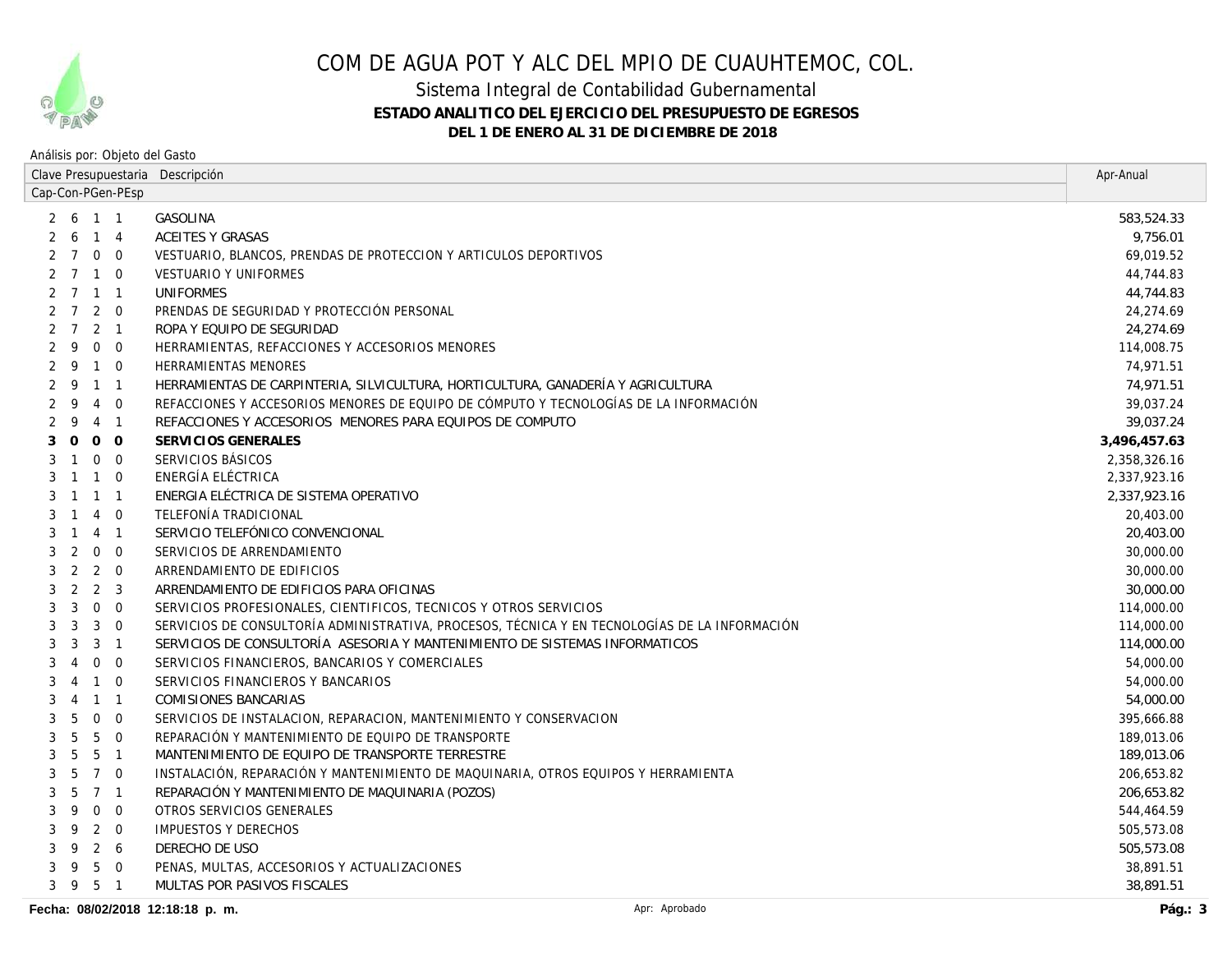

### Sistema Integral de Contabilidad Gubernamental **ESTADO ANALITICO DEL EJERCICIO DEL PRESUPUESTO DE EGRESOS DEL 1 DE ENERO AL 31 DE DICIEMBRE DE 2018**

| Clave Presupuestaria Descripción   |                                                                                               | Apr-Anual    |
|------------------------------------|-----------------------------------------------------------------------------------------------|--------------|
| Cap-Con-PGen-PEsp                  |                                                                                               |              |
| 2 6 1 1                            | <b>GASOLINA</b>                                                                               | 583,524.33   |
| $6 \quad 1 \quad 4$<br>2           | <b>ACEITES Y GRASAS</b>                                                                       | 9,756.01     |
| 7 0 0                              | VESTUARIO, BLANCOS, PRENDAS DE PROTECCION Y ARTICULOS DEPORTIVOS                              | 69,019.52    |
| 2 7 1 0                            | <b>VESTUARIO Y UNIFORMES</b>                                                                  | 44,744.83    |
| 2 7 1 1                            | <b>UNIFORMES</b>                                                                              | 44,744.83    |
| $2 \t7 \t2 \t0$                    | PRENDAS DE SEGURIDAD Y PROTECCIÓN PERSONAL                                                    | 24,274.69    |
| $2 \quad 1$<br>$\overline{7}$<br>2 | ROPA Y EQUIPO DE SEGURIDAD                                                                    | 24,274.69    |
| $0\quad 0$<br>9                    | HERRAMIENTAS, REFACCIONES Y ACCESORIOS MENORES                                                | 114,008.75   |
| $1\quad 0$<br>9<br>2               | <b>HERRAMIENTAS MENORES</b>                                                                   | 74,971.51    |
| 9<br>1 1                           | HERRAMIENTAS DE CARPINTERIA, SILVICULTURA, HORTICULTURA, GANADERÍA Y AGRICULTURA              | 74,971.51    |
| 4 0<br>9                           | REFACCIONES Y ACCESORIOS MENORES DE EQUIPO DE CÓMPUTO Y TECNOLOGÍAS DE LA INFORMACIÓN         | 39,037.24    |
| 9<br>4 1                           | REFACCIONES Y ACCESORIOS MENORES PARA EQUIPOS DE COMPUTO                                      | 39,037.24    |
| $0\quad 0$<br>$\Omega$             | SERVICIOS GENERALES                                                                           | 3,496,457.63 |
| $0\quad 0$<br>$\mathbf{1}$         | SERVICIOS BÁSICOS                                                                             | 2,358,326.16 |
| $1\quad 0$<br>$\mathbf{1}$         | ENERGÍA ELÉCTRICA                                                                             | 2,337,923.16 |
| $1 \quad 1 \quad 1$                | ENERGIA ELÉCTRICA DE SISTEMA OPERATIVO                                                        | 2,337,923.16 |
| $4\quad 0$<br>$\mathbf{1}$         | TELEFONÍA TRADICIONAL                                                                         | 20,403.00    |
| 4 1<br>$\mathbf{1}$                | SERVICIO TELEFÓNICO CONVENCIONAL                                                              | 20,403.00    |
| $0\quad 0$<br>2                    | SERVICIOS DE ARRENDAMIENTO                                                                    | 30,000.00    |
| 2<br>$2 \quad 0$                   | ARRENDAMIENTO DE EDIFICIOS                                                                    | 30,000.00    |
| $2 \quad 3$<br>2                   | ARRENDAMIENTO DE EDIFICIOS PARA OFICINAS                                                      | 30,000.00    |
| $0\quad 0$<br>3                    | SERVICIOS PROFESIONALES, CIENTIFICOS, TECNICOS Y OTROS SERVICIOS                              | 114,000.00   |
| 3<br>$3 \quad 0$                   | SERVICIOS DE CONSULTORÍA ADMINISTRATIVA, PROCESOS, TÉCNICA Y EN TECNOLOGÍAS DE LA INFORMACIÓN | 114,000.00   |
| 3<br>$3 \quad 1$                   | SERVICIOS DE CONSULTORÍA ASESORIA Y MANTENIMIENTO DE SISTEMAS INFORMATICOS                    | 114,000.00   |
| $0\quad 0$<br>4                    | SERVICIOS FINANCIEROS, BANCARIOS Y COMERCIALES                                                | 54,000.00    |
| $1\quad 0$<br>4                    | SERVICIOS FINANCIEROS Y BANCARIOS                                                             | 54,000.00    |
| $1 \quad 1$<br>4                   | <b>COMISIONES BANCARIAS</b>                                                                   | 54,000.00    |
| $0\quad 0$<br>5                    | SERVICIOS DE INSTALACION, REPARACION, MANTENIMIENTO Y CONSERVACION                            | 395,666.88   |
| $5\quad 0$<br>5                    | REPARACIÓN Y MANTENIMIENTO DE EQUIPO DE TRANSPORTE                                            | 189,013.06   |
| 5<br>5 <sub>1</sub>                | MANTENIMIENTO DE EQUIPO DE TRANSPORTE TERRESTRE                                               | 189,013.06   |
| 5<br>7 0                           | INSTALACIÓN, REPARACIÓN Y MANTENIMIENTO DE MAQUINARIA, OTROS EQUIPOS Y HERRAMIENTA            | 206,653.82   |
| 5<br>7 1                           | REPARACIÓN Y MANTENIMIENTO DE MAQUINARIA (POZOS)                                              | 206,653.82   |
| $0\quad 0$<br>9                    | OTROS SERVICIOS GENERALES                                                                     | 544,464.59   |
| $2 \quad 0$<br>9                   | <b>IMPUESTOS Y DERECHOS</b>                                                                   | 505,573.08   |
| $2\quad 6$<br>9<br>3               | DERECHO DE USO                                                                                | 505,573.08   |
| 5 0<br>9<br>3                      | PENAS, MULTAS, ACCESORIOS Y ACTUALIZACIONES                                                   | 38,891.51    |
| 5 1<br>39                          | MULTAS POR PASIVOS FISCALES                                                                   | 38,891.51    |
| Fecha: 08/02/2018 12:18:18 p. m.   | Apr: Aprobado                                                                                 | Pág.: $3$    |